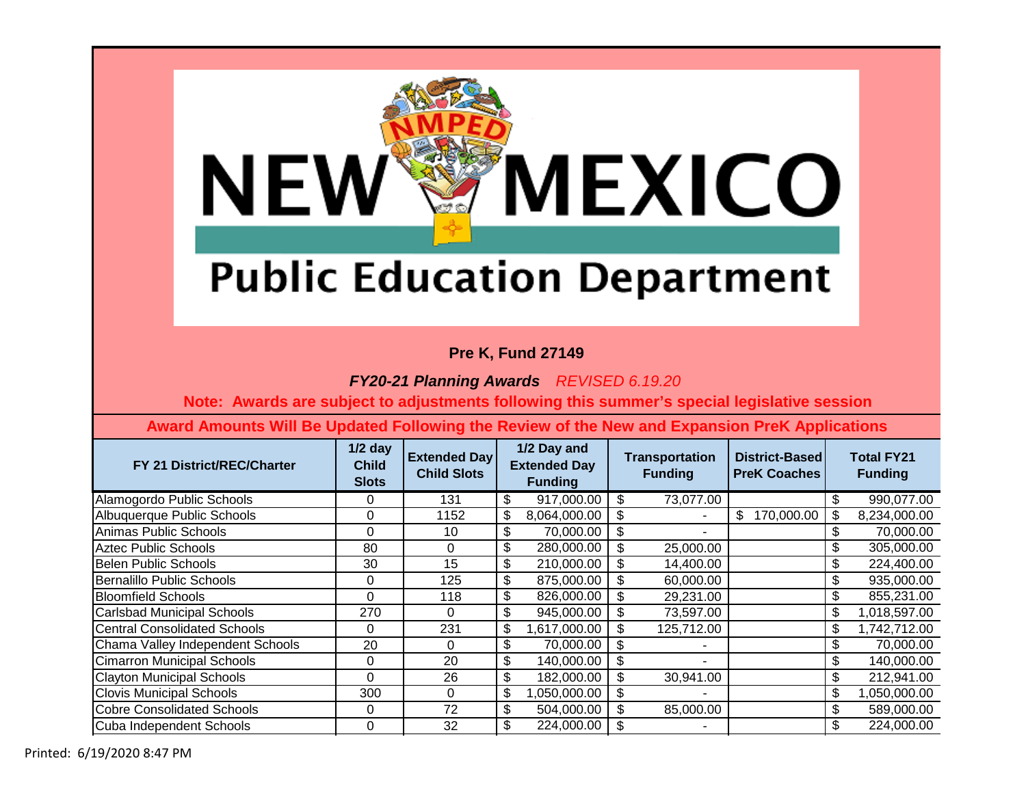

### **Pre K, Fund 27149**

*FY20-21 Planning Awards REVISED 6.19.20*

 **Note: Awards are subject to adjustments following this summer's special legislative session**

| FY 21 District/REC/Charter          | $1/2$ day<br><b>Child</b><br><b>Slots</b> | <b>Extended Day</b><br><b>Child Slots</b> | 1/2 Day and<br><b>Extended Day</b><br><b>Funding</b> |              |     | <b>Transportation</b><br><b>Funding</b> | District-Based<br><b>PreK Coaches</b> | <b>Total FY21</b><br><b>Funding</b> |
|-------------------------------------|-------------------------------------------|-------------------------------------------|------------------------------------------------------|--------------|-----|-----------------------------------------|---------------------------------------|-------------------------------------|
| Alamogordo Public Schools           | 0                                         | 131                                       | \$                                                   | 917,000.00   | -\$ | 73,077.00                               |                                       | \$<br>990,077.00                    |
| Albuquerque Public Schools          | 0                                         | 1152                                      | \$                                                   | 8,064,000.00 | \$  |                                         | \$<br>170,000.00                      | \$<br>8,234,000.00                  |
| Animas Public Schools               | 0                                         | 10                                        | \$                                                   | 70,000.00    | \$  |                                         |                                       | \$<br>70,000.00                     |
| <b>Aztec Public Schools</b>         | 80                                        | 0                                         | \$                                                   | 280,000.00   | \$  | 25,000.00                               |                                       | \$<br>305,000.00                    |
| <b>Belen Public Schools</b>         | 30                                        | 15                                        | \$                                                   | 210,000.00   | \$  | 14,400.00                               |                                       | \$<br>224,400.00                    |
| Bernalillo Public Schools           | 0                                         | 125                                       | \$                                                   | 875,000.00   | \$  | 60,000.00                               |                                       | \$<br>935,000.00                    |
| <b>Bloomfield Schools</b>           | $\Omega$                                  | 118                                       | \$                                                   | 826,000.00   | \$  | 29,231.00                               |                                       | \$<br>855,231.00                    |
| Carlsbad Municipal Schools          | 270                                       | 0                                         | \$                                                   | 945,000.00   | -\$ | 73,597.00                               |                                       | \$<br>1,018,597.00                  |
| <b>Central Consolidated Schools</b> | 0                                         | 231                                       | $\frac{1}{2}$                                        | 1,617,000.00 | -\$ | 125,712.00                              |                                       | \$<br>1,742,712.00                  |
| Chama Valley Independent Schools    | 20                                        | 0                                         | \$                                                   | 70,000.00    | -\$ |                                         |                                       | \$<br>70,000.00                     |
| <b>Cimarron Municipal Schools</b>   | 0                                         | 20                                        | \$                                                   | 140,000.00   | \$  | ۰                                       |                                       | \$<br>140,000.00                    |
| <b>Clayton Municipal Schools</b>    | $\Omega$                                  | 26                                        | \$                                                   | 182,000.00   | \$  | 30,941.00                               |                                       | \$<br>212,941.00                    |
| <b>Clovis Municipal Schools</b>     | 300                                       | 0                                         | \$                                                   | 050,000.00   | \$  | $\blacksquare$                          |                                       | \$<br>050,000.00                    |
| <b>Cobre Consolidated Schools</b>   | 0                                         | 72                                        | \$                                                   | 504,000.00   | \$  | 85,000.00                               |                                       | \$<br>589,000.00                    |
| Cuba Independent Schools            | 0                                         | 32                                        | \$                                                   | 224,000.00   | \$  |                                         |                                       | \$<br>224,000.00                    |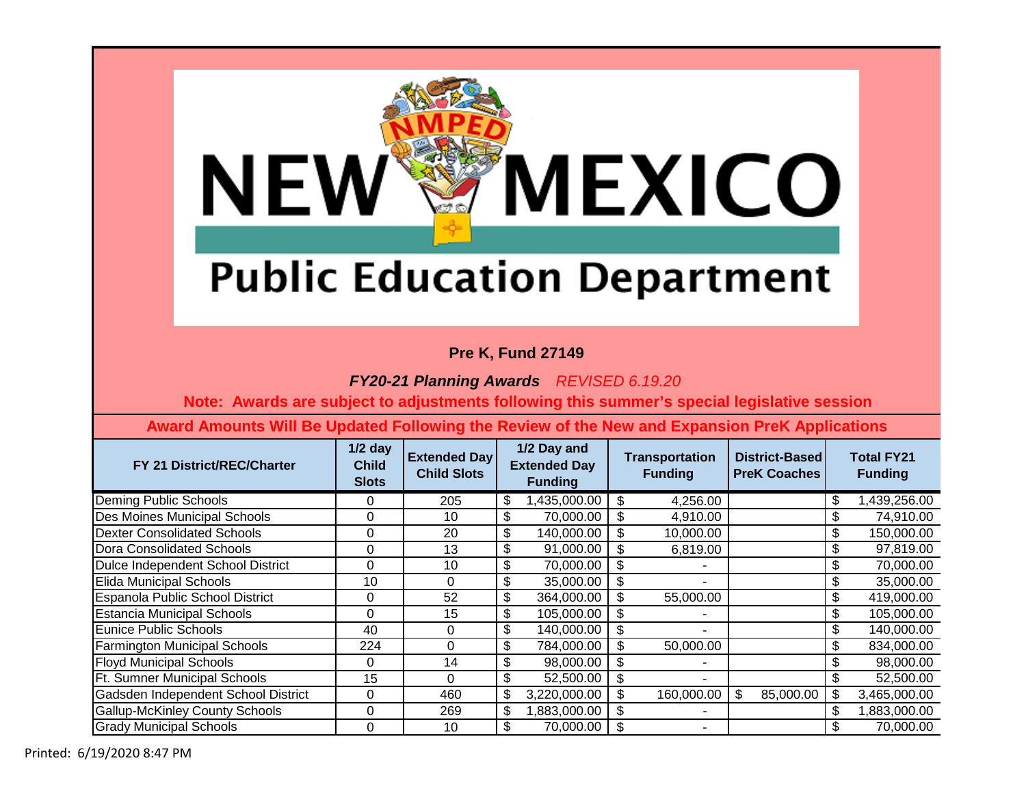

### **Pre K, Fund 27149**

*FY20-21 Planning Awards REVISED 6.19.20*

 **Note: Awards are subject to adjustments following this summer's special legislative session**

| FY 21 District/REC/Charter            | $1/2$ day<br><b>Child</b><br><b>Slots</b> | <b>Extended Day</b><br><b>Child Slots</b> | 1/2 Day and<br><b>Extended Day</b><br><b>Funding</b> |              | <b>Transportation</b><br><b>Funding</b> |            | District-Based<br><b>PreK Coaches</b> |           |                           | <b>Total FY21</b><br><b>Funding</b> |
|---------------------------------------|-------------------------------------------|-------------------------------------------|------------------------------------------------------|--------------|-----------------------------------------|------------|---------------------------------------|-----------|---------------------------|-------------------------------------|
| Deming Public Schools                 | 0                                         | 205                                       | \$                                                   | 1,435,000.00 | \$                                      | 4,256.00   |                                       |           | $\boldsymbol{\mathsf{S}}$ | 1,439,256.00                        |
| Des Moines Municipal Schools          | 0                                         | 10                                        | \$                                                   | 70,000.00    | \$                                      | 4,910.00   |                                       |           | \$                        | 74,910.00                           |
| <b>Dexter Consolidated Schools</b>    | 0                                         | 20                                        | \$                                                   | 140,000.00   | -S                                      | 10,000.00  |                                       |           | \$                        | 150,000.00                          |
| Dora Consolidated Schools             | 0                                         | 13                                        | \$                                                   | 91,000.00    | - \$                                    | 6,819.00   |                                       |           | \$                        | 97,819.00                           |
| Dulce Independent School District     | 0                                         | 10                                        | \$                                                   | 70,000.00    | \$                                      |            |                                       |           | \$                        | 70,000.00                           |
| Elida Municipal Schools               | 10                                        | 0                                         | \$                                                   | 35,000.00    | \$                                      | ٠          |                                       |           | \$                        | 35,000.00                           |
| Espanola Public School District       | 0                                         | 52                                        | \$                                                   | 364,000.00   | \$                                      | 55,000.00  |                                       |           | \$                        | 419,000.00                          |
| <b>Estancia Municipal Schools</b>     | $\Omega$                                  | 15                                        | \$                                                   | 105,000.00   | \$                                      | ٠          |                                       |           | \$                        | 105,000.00                          |
| Eunice Public Schools                 | 40                                        | $\Omega$                                  | \$                                                   | 140,000.00   | \$                                      |            |                                       |           | \$                        | 140,000.00                          |
| <b>Farmington Municipal Schools</b>   | 224                                       | $\Omega$                                  | \$                                                   | 784,000.00   |                                         | 50,000.00  |                                       |           | $\boldsymbol{\mathsf{S}}$ | 834,000.00                          |
| <b>Floyd Municipal Schools</b>        | 0                                         | 14                                        | \$                                                   | 98,000.00    | \$                                      |            |                                       |           | $\boldsymbol{\mathsf{S}}$ | 98,000.00                           |
| <b>Ft. Sumner Municipal Schools</b>   | 15                                        | $\Omega$                                  | \$                                                   | 52,500.00    | \$                                      |            |                                       |           | \$                        | 52,500.00                           |
| Gadsden Independent School District   | 0                                         | 460                                       | \$                                                   | 3,220,000.00 | \$                                      | 160,000.00 | \$                                    | 85,000.00 | $\boldsymbol{\mathsf{S}}$ | 3,465,000.00                        |
| <b>Gallup-McKinley County Schools</b> | 0                                         | 269                                       | \$                                                   | 1,883,000.00 | \$                                      |            |                                       |           | \$                        | 1,883,000.00                        |
| <b>Grady Municipal Schools</b>        | 0                                         | 10                                        | \$                                                   | 70,000.00    | -\$                                     |            |                                       |           |                           | 70.000.00                           |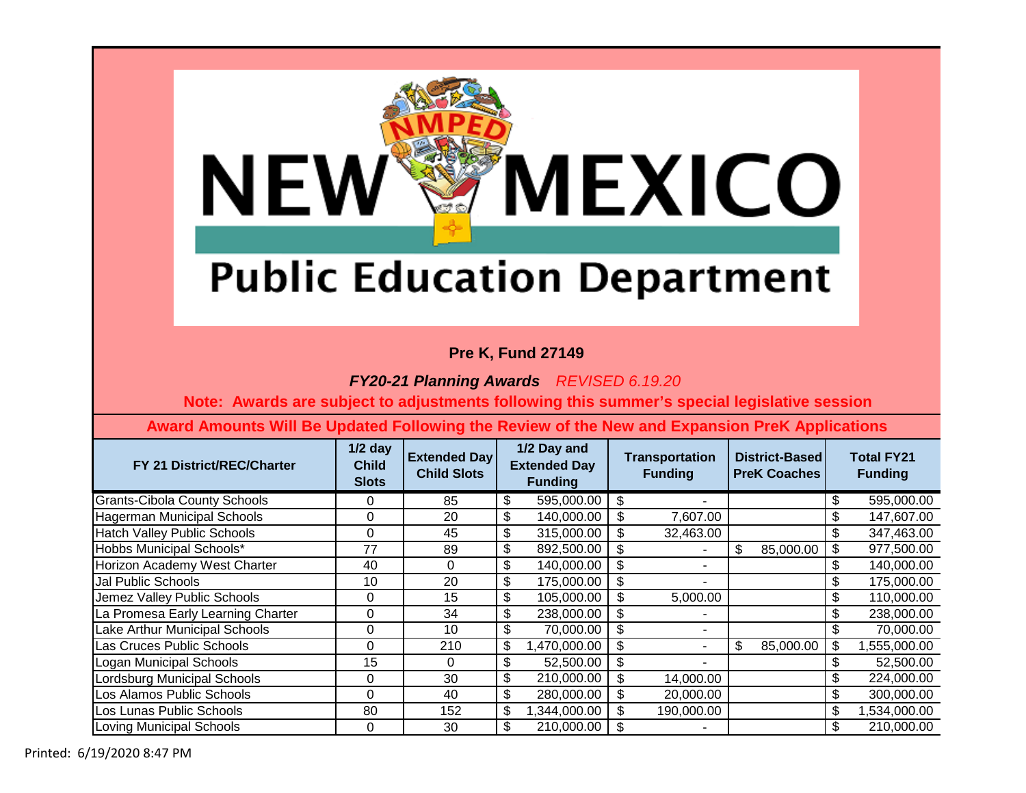

### **Pre K, Fund 27149**

*FY20-21 Planning Awards REVISED 6.19.20*

 **Note: Awards are subject to adjustments following this summer's special legislative session**

| FY 21 District/REC/Charter         | $1/2$ day<br><b>Child</b><br><b>Slots</b> | <b>Extended Day</b><br><b>Child Slots</b> | 1/2 Day and<br><b>Extended Day</b><br><b>Funding</b> |     | <b>Transportation</b><br><b>Funding</b> | District-Based<br><b>PreK Coaches</b> |           | <b>Total FY21</b><br><b>Funding</b> |
|------------------------------------|-------------------------------------------|-------------------------------------------|------------------------------------------------------|-----|-----------------------------------------|---------------------------------------|-----------|-------------------------------------|
| Grants-Cibola County Schools       | 0                                         | 85                                        | \$<br>595,000.00                                     | \$  |                                         |                                       |           | \$<br>595,000.00                    |
| Hagerman Municipal Schools         | 0                                         | 20                                        | \$<br>140,000.00                                     | \$  | 7,607.00                                |                                       |           | \$<br>147,607.00                    |
| <b>Hatch Valley Public Schools</b> | 0                                         | 45                                        | \$<br>315,000.00                                     | \$  | 32,463.00                               |                                       |           | \$<br>347,463.00                    |
| Hobbs Municipal Schools*           | 77                                        | 89                                        | \$<br>892,500.00                                     | \$  | ۰                                       | \$                                    | 85,000.00 | \$<br>977,500.00                    |
| Horizon Academy West Charter       | 40                                        | 0                                         | \$<br>140,000.00                                     | -\$ | ۰                                       |                                       |           | \$<br>140,000.00                    |
| Jal Public Schools                 | 10                                        | 20                                        | \$<br>175,000.00                                     | -\$ | ۰                                       |                                       |           | \$<br>175,000.00                    |
| Jemez Valley Public Schools        | 0                                         | 15                                        | \$<br>105,000.00                                     | -\$ | 5,000.00                                |                                       |           | \$<br>110,000.00                    |
| La Promesa Early Learning Charter  | 0                                         | 34                                        | \$<br>238,000.00                                     | -\$ | ۰                                       |                                       |           | \$<br>238,000.00                    |
| Lake Arthur Municipal Schools      | 0                                         | 10                                        | \$<br>70,000.00                                      | \$  | ۰                                       |                                       |           | \$<br>70,000.00                     |
| Las Cruces Public Schools          | 0                                         | 210                                       | \$<br>,470,000.00                                    | \$  | ۰                                       | \$                                    | 85,000.00 | \$<br>555,000.00                    |
| Logan Municipal Schools            | 15                                        | 0                                         | \$<br>52,500.00                                      | \$  | ٠                                       |                                       |           | \$<br>52,500.00                     |
| Lordsburg Municipal Schools        | 0                                         | 30                                        | \$<br>210,000.00                                     | \$  | 14,000.00                               |                                       |           | \$<br>224,000.00                    |
| Los Alamos Public Schools          | $\Omega$                                  | 40                                        | \$<br>280,000.00                                     |     | 20,000.00                               |                                       |           | \$<br>300,000.00                    |
| Los Lunas Public Schools           | 80                                        | 152                                       | \$<br>1,344,000.00                                   | -\$ | 190,000.00                              |                                       |           | \$<br>1,534,000.00                  |
| Loving Municipal Schools           | 0                                         | 30                                        | \$<br>210,000.00                                     |     |                                         |                                       |           | \$<br>210,000.00                    |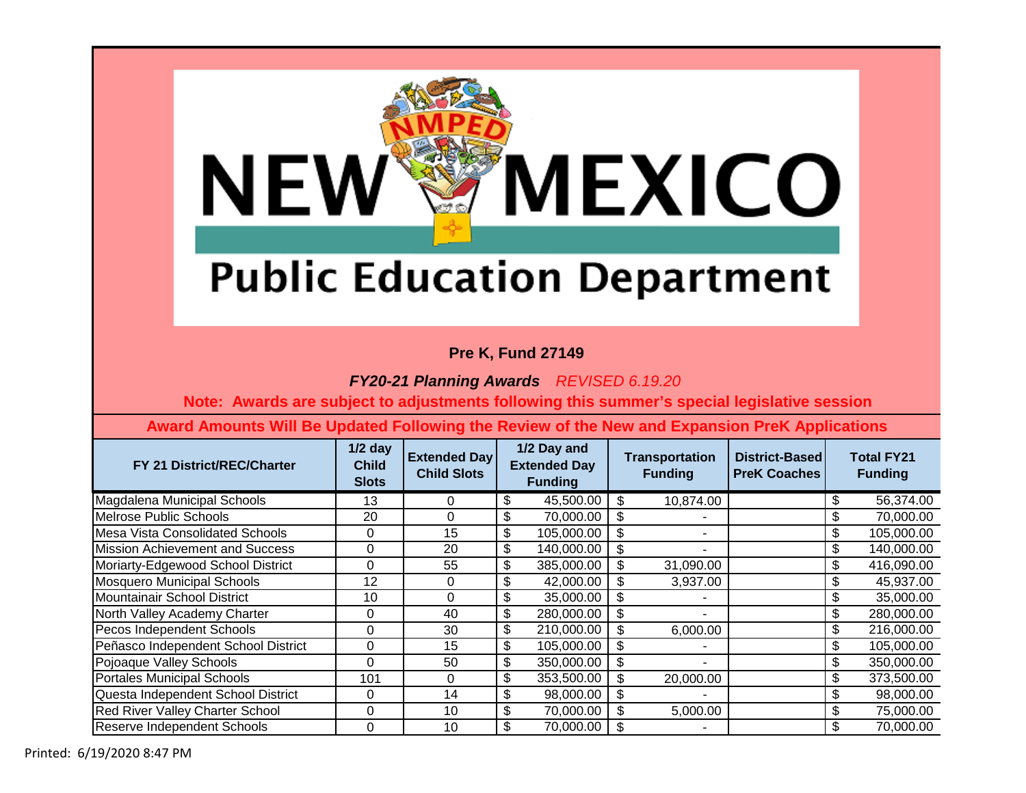

### **Pre K, Fund 27149**

*FY20-21 Planning Awards REVISED 6.19.20*

 **Note: Awards are subject to adjustments following this summer's special legislative session**

| FY 21 District/REC/Charter             | $1/2$ day<br><b>Child</b><br><b>Slots</b> | <b>Extended Day</b><br><b>Child Slots</b> | 1/2 Day and<br><b>Extended Day</b><br><b>Funding</b> |            | <b>Transportation</b><br><b>Funding</b> |                | District-Based<br><b>PreK Coaches</b> | <b>Total FY21</b><br><b>Funding</b> |
|----------------------------------------|-------------------------------------------|-------------------------------------------|------------------------------------------------------|------------|-----------------------------------------|----------------|---------------------------------------|-------------------------------------|
| Magdalena Municipal Schools            | 13                                        | 0                                         | \$                                                   | 45,500.00  | -\$                                     | 10,874.00      |                                       | \$<br>56,374.00                     |
| Melrose Public Schools                 | 20                                        | 0                                         | \$                                                   | 70,000.00  | \$                                      |                |                                       | \$<br>70,000.00                     |
| Mesa Vista Consolidated Schools        | 0                                         | 15                                        | \$                                                   | 105,000.00 | \$                                      |                |                                       | \$<br>105,000.00                    |
| Mission Achievement and Success        | 0                                         | 20                                        | \$                                                   | 140,000.00 | \$                                      |                |                                       | \$<br>140,000.00                    |
| Moriarty-Edgewood School District      | 0                                         | 55                                        | \$                                                   | 385,000.00 | -\$                                     | 31,090.00      |                                       | \$<br>416,090.00                    |
| <b>Mosquero Municipal Schools</b>      | 12                                        | 0                                         | \$                                                   | 42,000.00  | - \$                                    | 3,937.00       |                                       | \$<br>45,937.00                     |
| Mountainair School District            | 10                                        | $\Omega$                                  | \$                                                   | 35,000.00  | -\$                                     |                |                                       | \$<br>35,000.00                     |
| North Valley Academy Charter           | 0                                         | 40                                        | \$                                                   | 280,000.00 | \$                                      | ۰              |                                       | \$<br>280,000.00                    |
| Pecos Independent Schools              | 0                                         | 30                                        | \$                                                   | 210,000.00 | \$                                      | 6,000.00       |                                       | \$<br>216,000.00                    |
| Peñasco Independent School District    | 0                                         | 15                                        | \$                                                   | 105,000.00 | \$                                      |                |                                       | \$<br>105,000.00                    |
| Pojoaque Valley Schools                | $\Omega$                                  | 50                                        | \$                                                   | 350,000.00 | \$                                      | $\blacksquare$ |                                       | \$<br>350,000.00                    |
| Portales Municipal Schools             | 101                                       | $\Omega$                                  | \$                                                   | 353,500.00 | -\$                                     | 20,000.00      |                                       | \$<br>373,500.00                    |
| Questa Independent School District     | 0                                         | 14                                        | \$                                                   | 98,000.00  | -\$                                     |                |                                       | \$<br>98,000.00                     |
| <b>Red River Valley Charter School</b> | 0                                         | 10                                        | \$                                                   | 70,000.00  | -\$                                     | 5,000.00       |                                       | \$<br>75,000.00                     |
| Reserve Independent Schools            | 0                                         | 10                                        | \$                                                   | 70,000.00  | - \$                                    |                |                                       | \$<br>70,000.00                     |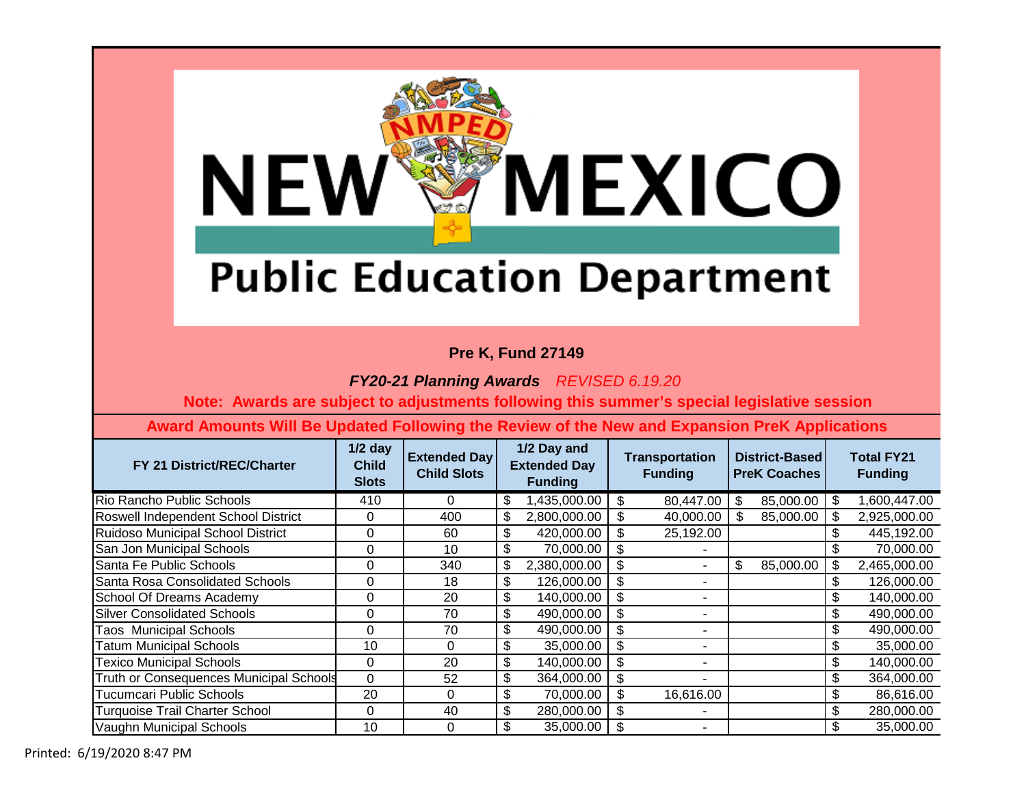

### **Pre K, Fund 27149**

*FY20-21 Planning Awards REVISED 6.19.20*

 **Note: Awards are subject to adjustments following this summer's special legislative session**

| FY 21 District/REC/Charter               | $1/2$ day<br><b>Child</b><br><b>Slots</b> | <b>Extended Day</b><br><b>Child Slots</b> | 1/2 Day and<br><b>Extended Day</b><br><b>Funding</b> |              | <b>Transportation</b><br><b>Funding</b> |                          | District-Based<br><b>PreK Coaches</b> |           |                           | <b>Total FY21</b><br><b>Funding</b> |
|------------------------------------------|-------------------------------------------|-------------------------------------------|------------------------------------------------------|--------------|-----------------------------------------|--------------------------|---------------------------------------|-----------|---------------------------|-------------------------------------|
| Rio Rancho Public Schools                | 410                                       | 0                                         | \$                                                   | 1,435,000.00 | \$                                      | 80,447.00                | \$                                    | 85,000.00 | -\$                       | 1,600,447.00                        |
| Roswell Independent School District      | 0                                         | 400                                       | \$                                                   | 2,800,000.00 | \$                                      | 40,000.00                | S                                     | 85,000.00 | \$                        | 2,925,000.00                        |
| <b>Ruidoso Municipal School District</b> | 0                                         | 60                                        | \$                                                   | 420,000.00   | S.                                      | 25,192.00                |                                       |           | \$                        | 445,192.00                          |
| San Jon Municipal Schools                | 0                                         | 10                                        | \$                                                   | 70,000.00    | -S                                      |                          |                                       |           | \$                        | 70,000.00                           |
| Santa Fe Public Schools                  | 0                                         | 340                                       | \$                                                   | 2,380,000.00 | \$                                      | $\blacksquare$           | \$                                    | 85,000.00 | \$                        | 2,465,000.00                        |
| Santa Rosa Consolidated Schools          | 0                                         | 18                                        | \$                                                   | 126,000.00   | \$.                                     |                          |                                       |           | \$                        | 126,000.00                          |
| School Of Dreams Academy                 | 0                                         | 20                                        | \$                                                   | 140,000.00   | \$                                      | $\overline{\phantom{a}}$ |                                       |           | \$                        | 140,000.00                          |
| <b>Silver Consolidated Schools</b>       | 0                                         | 70                                        | \$                                                   | 490,000.00   | \$                                      |                          |                                       |           | \$                        | 490,000.00                          |
| <b>Taos Municipal Schools</b>            | 0                                         | 70                                        | \$                                                   | 490,000.00   | \$                                      | ٠                        |                                       |           |                           | 490,000.00                          |
| <b>Tatum Municipal Schools</b>           | 10                                        | $\Omega$                                  | \$                                                   | 35,000.00    | \$                                      | ٠                        |                                       |           | \$                        | 35,000.00                           |
| <b>Texico Municipal Schools</b>          | 0                                         | 20                                        | \$                                                   | 140,000.00   | \$                                      | ٠                        |                                       |           | \$                        | 140,000.00                          |
| Truth or Consequences Municipal Schools  | $\Omega$                                  | 52                                        | \$                                                   | 364,000.00   | \$.                                     |                          |                                       |           | \$                        | 364,000.00                          |
| <b>Tucumcari Public Schools</b>          | 20                                        | $\Omega$                                  | \$                                                   | 70,000.00    |                                         | 16,616.00                |                                       |           | \$                        | 86,616.00                           |
| <b>Turquoise Trail Charter School</b>    | 0                                         | 40                                        | \$                                                   | 280,000.00   |                                         | ٠                        |                                       |           | $\boldsymbol{\mathsf{S}}$ | 280,000.00                          |
| Vaughn Municipal Schools                 | 10                                        | 0                                         | \$                                                   | 35,000.00    |                                         | ۰                        |                                       |           | \$                        | 35,000.00                           |